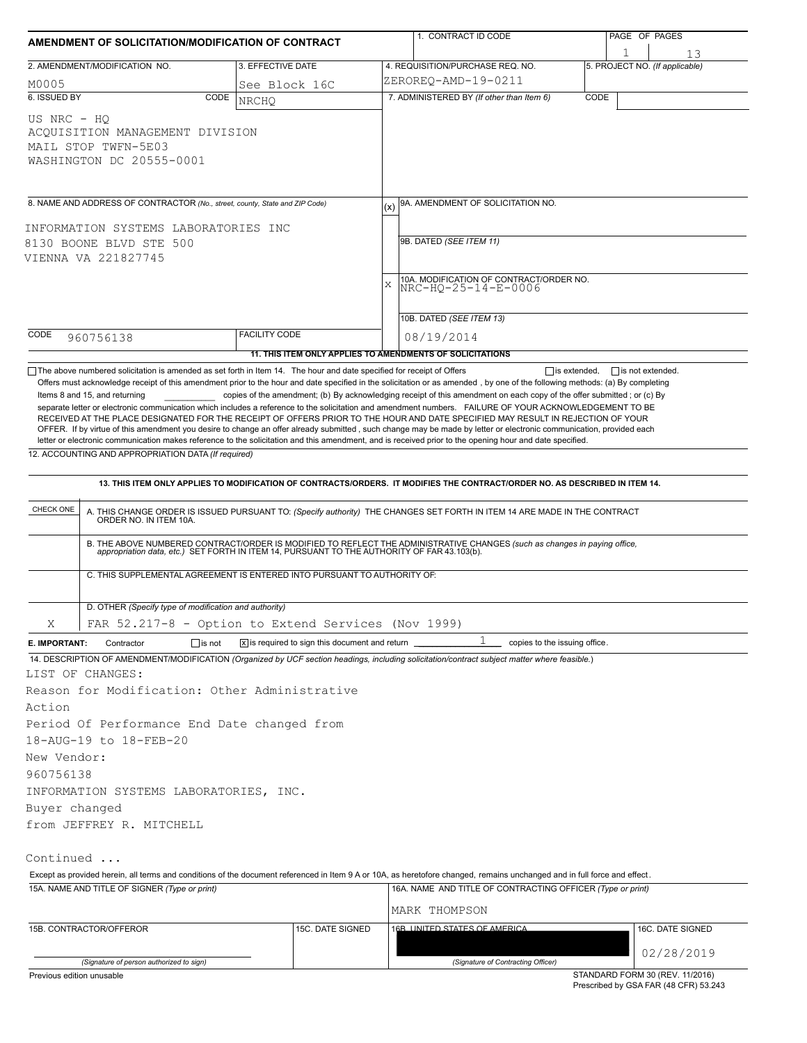|                                                                                                                                  | AMENDMENT OF SOLICITATION/MODIFICATION OF CONTRACT                                     |                                                                            | 1. CONTRACT ID CODE                                                                                                                                                                                                                                                                                                                                                       |                                | PAGE OF PAGES    |  |  |  |
|----------------------------------------------------------------------------------------------------------------------------------|----------------------------------------------------------------------------------------|----------------------------------------------------------------------------|---------------------------------------------------------------------------------------------------------------------------------------------------------------------------------------------------------------------------------------------------------------------------------------------------------------------------------------------------------------------------|--------------------------------|------------------|--|--|--|
|                                                                                                                                  | 2. AMENDMENT/MODIFICATION NO.                                                          | 3. EFFECTIVE DATE                                                          | 4. REQUISITION/PURCHASE REQ. NO.                                                                                                                                                                                                                                                                                                                                          | 5. PROJECT NO. (If applicable) | 13               |  |  |  |
| M0005                                                                                                                            |                                                                                        | See Block 16C                                                              | ZEROREQ-AMD-19-0211                                                                                                                                                                                                                                                                                                                                                       |                                |                  |  |  |  |
| 6. ISSUED BY                                                                                                                     | CODE                                                                                   | <b>NRCHO</b>                                                               | 7. ADMINISTERED BY (If other than Item 6)                                                                                                                                                                                                                                                                                                                                 | CODE                           |                  |  |  |  |
| US NRC - HO                                                                                                                      | ACOUISITION MANAGEMENT DIVISION<br>MAIL STOP TWFN-5E03<br>WASHINGTON DC 20555-0001     |                                                                            |                                                                                                                                                                                                                                                                                                                                                                           |                                |                  |  |  |  |
|                                                                                                                                  | 8. NAME AND ADDRESS OF CONTRACTOR (No., street, county, State and ZIP Code)            |                                                                            | 9A. AMENDMENT OF SOLICITATION NO.<br>(x)                                                                                                                                                                                                                                                                                                                                  |                                |                  |  |  |  |
|                                                                                                                                  | INFORMATION SYSTEMS LABORATORIES INC<br>8130 BOONE BLVD STE 500<br>VIENNA VA 221827745 |                                                                            | 9B. DATED (SEE ITEM 11)<br>10A. MODIFICATION OF CONTRACT/ORDER NO.<br>X<br>NRC-HO-25-14-E-0006                                                                                                                                                                                                                                                                            |                                |                  |  |  |  |
|                                                                                                                                  |                                                                                        |                                                                            |                                                                                                                                                                                                                                                                                                                                                                           |                                |                  |  |  |  |
|                                                                                                                                  |                                                                                        |                                                                            | 10B. DATED (SEE ITEM 13)                                                                                                                                                                                                                                                                                                                                                  |                                |                  |  |  |  |
| CODE                                                                                                                             | 960756138                                                                              | <b>FACILITY CODE</b>                                                       | 08/19/2014                                                                                                                                                                                                                                                                                                                                                                |                                |                  |  |  |  |
|                                                                                                                                  |                                                                                        |                                                                            | 11. THIS ITEM ONLY APPLIES TO AMENDMENTS OF SOLICITATIONS                                                                                                                                                                                                                                                                                                                 |                                |                  |  |  |  |
|                                                                                                                                  | 12. ACCOUNTING AND APPROPRIATION DATA (If required)                                    |                                                                            | letter or electronic communication makes reference to the solicitation and this amendment, and is received prior to the opening hour and date specified.<br>13. THIS ITEM ONLY APPLIES TO MODIFICATION OF CONTRACTS/ORDERS. IT MODIFIES THE CONTRACT/ORDER NO. AS DESCRIBED IN ITEM 14.                                                                                   |                                |                  |  |  |  |
| CHECK ONE                                                                                                                        |                                                                                        |                                                                            | A. THIS CHANGE ORDER IS ISSUED PURSUANT TO: (Specify authority) THE CHANGES SET FORTH IN ITEM 14 ARE MADE IN THE CONTRACT ORDER NO. IN ITEM 10A.<br>B. THE ABOVE NUMBERED CONTRACT/ORDER IS MODIFIED TO REFLECT THE ADMINISTRATIVE CHANGES (such as changes in paying office, appropriation data, etc.) SET FORTH IN ITEM 14, PURSUANT TO THE AUTHORITY OF FAR 43.103(b). |                                |                  |  |  |  |
|                                                                                                                                  |                                                                                        | C. THIS SUPPLEMENTAL AGREEMENT IS ENTERED INTO PURSUANT TO AUTHORITY OF:   |                                                                                                                                                                                                                                                                                                                                                                           |                                |                  |  |  |  |
|                                                                                                                                  |                                                                                        |                                                                            |                                                                                                                                                                                                                                                                                                                                                                           |                                |                  |  |  |  |
|                                                                                                                                  | D. OTHER (Specify type of modification and authority)                                  |                                                                            |                                                                                                                                                                                                                                                                                                                                                                           |                                |                  |  |  |  |
| Χ                                                                                                                                |                                                                                        | FAR 52.217-8 - Option to Extend Services (Nov 1999)                        |                                                                                                                                                                                                                                                                                                                                                                           |                                |                  |  |  |  |
|                                                                                                                                  | $\Box$ is not<br>Contractor                                                            | $\overline{X}$ is required to sign this document and return $\overline{X}$ | 1<br>copies to the issuing office.                                                                                                                                                                                                                                                                                                                                        |                                |                  |  |  |  |
|                                                                                                                                  |                                                                                        |                                                                            | 14. DESCRIPTION OF AMENDMENT/MODIFICATION (Organized by UCF section headings, including solicitation/contract subject matter where feasible.)                                                                                                                                                                                                                             |                                |                  |  |  |  |
|                                                                                                                                  |                                                                                        |                                                                            |                                                                                                                                                                                                                                                                                                                                                                           |                                |                  |  |  |  |
|                                                                                                                                  | Reason for Modification: Other Administrative                                          |                                                                            |                                                                                                                                                                                                                                                                                                                                                                           |                                |                  |  |  |  |
|                                                                                                                                  | Period Of Performance End Date changed from<br>18-AUG-19 to 18-FEB-20                  |                                                                            |                                                                                                                                                                                                                                                                                                                                                                           |                                |                  |  |  |  |
|                                                                                                                                  | INFORMATION SYSTEMS LABORATORIES, INC.                                                 |                                                                            |                                                                                                                                                                                                                                                                                                                                                                           |                                |                  |  |  |  |
|                                                                                                                                  |                                                                                        |                                                                            |                                                                                                                                                                                                                                                                                                                                                                           |                                |                  |  |  |  |
|                                                                                                                                  | from JEFFREY R. MITCHELL                                                               |                                                                            |                                                                                                                                                                                                                                                                                                                                                                           |                                |                  |  |  |  |
|                                                                                                                                  |                                                                                        |                                                                            |                                                                                                                                                                                                                                                                                                                                                                           |                                |                  |  |  |  |
|                                                                                                                                  |                                                                                        |                                                                            | Except as provided herein, all terms and conditions of the document referenced in Item 9 A or 10A, as heretofore changed, remains unchanged and in full force and effect.                                                                                                                                                                                                 |                                |                  |  |  |  |
|                                                                                                                                  | 15A. NAME AND TITLE OF SIGNER (Type or print)                                          |                                                                            | 16A. NAME AND TITLE OF CONTRACTING OFFICER (Type or print)<br>MARK THOMPSON                                                                                                                                                                                                                                                                                               |                                |                  |  |  |  |
| E. IMPORTANT:<br>LIST OF CHANGES:<br>Action<br>New Vendor:<br>960756138<br>Buyer changed<br>Continued<br>15B. CONTRACTOR/OFFEROR |                                                                                        | 15C. DATE SIGNED                                                           | 16B LINITED STATES OF AMERICA                                                                                                                                                                                                                                                                                                                                             |                                | 16C. DATE SIGNED |  |  |  |
|                                                                                                                                  | (Signature of person authorized to sign)                                               |                                                                            | (Signature of Contracting Officer)                                                                                                                                                                                                                                                                                                                                        |                                | 02/28/2019       |  |  |  |

Prescribed by GSA FAR (48 CFR) 53.243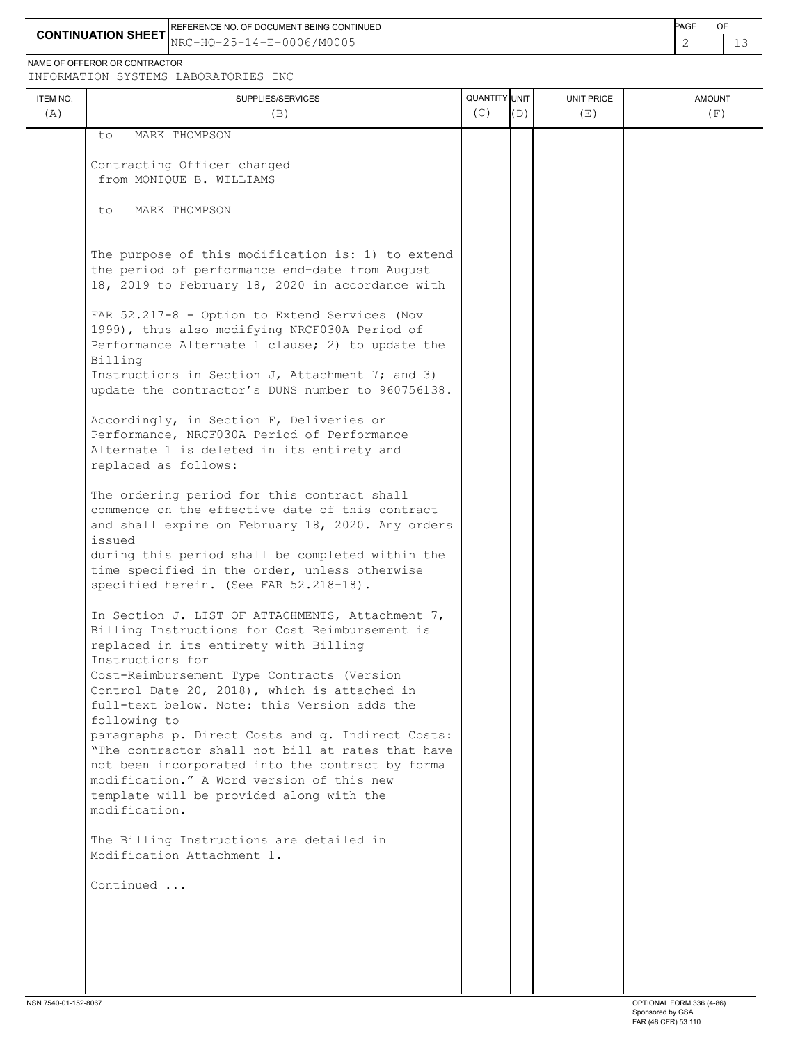REFERENCE NO. OF DOCUMENT BEING CONTINUED **Example 20 and 20 and 20 and 20 and 20 and 20 and 20 and 20 and 20 and 20 and 20 and 20 and 20 and 20 and 20 and 20 and 20 and 20 and 20 and 20 and 20 and 20 and 20 and 20 and 20** 

**CONTINUATION SHEET** NRC-HQ-25-14-E-0006/M0005 2 4 3

NAME OF OFFEROR OR CONTRACTOR

INFORMATION SYSTEMS LABORATORIES INC

| ITEM NO.<br>(A) | SUPPLIES/SERVICES<br>(B)                                                                                                                                                                                                                                                                                                                                                                                                                                                                                                                                                                               | QUANTITY UNIT<br>(C) | (D) | <b>UNIT PRICE</b><br>(E) | <b>AMOUNT</b><br>(F) |
|-----------------|--------------------------------------------------------------------------------------------------------------------------------------------------------------------------------------------------------------------------------------------------------------------------------------------------------------------------------------------------------------------------------------------------------------------------------------------------------------------------------------------------------------------------------------------------------------------------------------------------------|----------------------|-----|--------------------------|----------------------|
|                 | MARK THOMPSON<br>to.                                                                                                                                                                                                                                                                                                                                                                                                                                                                                                                                                                                   |                      |     |                          |                      |
|                 | Contracting Officer changed<br>from MONIQUE B. WILLIAMS                                                                                                                                                                                                                                                                                                                                                                                                                                                                                                                                                |                      |     |                          |                      |
|                 | MARK THOMPSON<br>to                                                                                                                                                                                                                                                                                                                                                                                                                                                                                                                                                                                    |                      |     |                          |                      |
|                 | The purpose of this modification is: 1) to extend<br>the period of performance end-date from August<br>18, 2019 to February 18, 2020 in accordance with                                                                                                                                                                                                                                                                                                                                                                                                                                                |                      |     |                          |                      |
|                 | FAR 52.217-8 - Option to Extend Services (Nov<br>1999), thus also modifying NRCF030A Period of<br>Performance Alternate 1 clause; 2) to update the<br>Billing                                                                                                                                                                                                                                                                                                                                                                                                                                          |                      |     |                          |                      |
|                 | Instructions in Section J, Attachment 7; and 3)<br>update the contractor's DUNS number to 960756138.                                                                                                                                                                                                                                                                                                                                                                                                                                                                                                   |                      |     |                          |                      |
|                 | Accordingly, in Section F, Deliveries or<br>Performance, NRCF030A Period of Performance<br>Alternate 1 is deleted in its entirety and<br>replaced as follows:                                                                                                                                                                                                                                                                                                                                                                                                                                          |                      |     |                          |                      |
|                 | The ordering period for this contract shall<br>commence on the effective date of this contract<br>and shall expire on February 18, 2020. Any orders<br>issued<br>during this period shall be completed within the<br>time specified in the order, unless otherwise<br>specified herein. (See FAR 52.218-18).                                                                                                                                                                                                                                                                                           |                      |     |                          |                      |
|                 | In Section J. LIST OF ATTACHMENTS, Attachment 7,<br>Billing Instructions for Cost Reimbursement is<br>replaced in its entirety with Billing<br>Instructions for<br>Cost-Reimbursement Type Contracts (Version<br>Control Date 20, 2018), which is attached in<br>full-text below. Note: this Version adds the<br>following to<br>paragraphs p. Direct Costs and q. Indirect Costs:<br>"The contractor shall not bill at rates that have<br>not been incorporated into the contract by formal<br>modification." A Word version of this new<br>template will be provided along with the<br>modification. |                      |     |                          |                      |
|                 | The Billing Instructions are detailed in<br>Modification Attachment 1.                                                                                                                                                                                                                                                                                                                                                                                                                                                                                                                                 |                      |     |                          |                      |
|                 | Continued                                                                                                                                                                                                                                                                                                                                                                                                                                                                                                                                                                                              |                      |     |                          |                      |
|                 |                                                                                                                                                                                                                                                                                                                                                                                                                                                                                                                                                                                                        |                      |     |                          |                      |